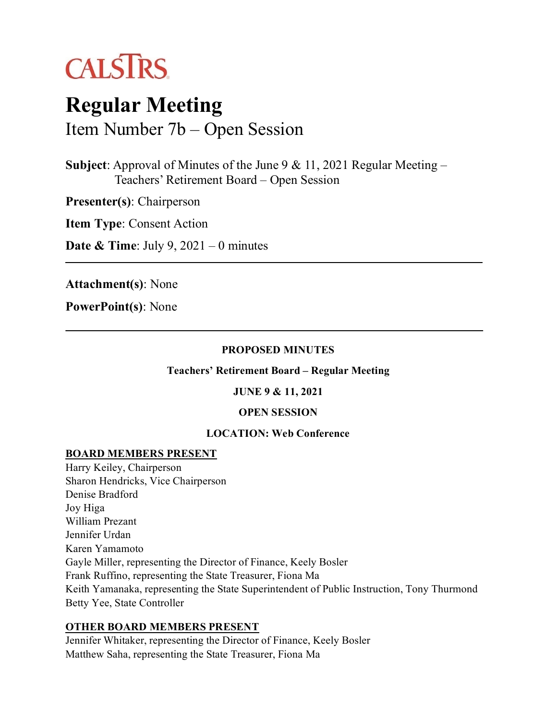

# **Regular Meeting** Item Number 7b – Open Session

**Subject**: Approval of Minutes of the June 9 & 11, 2021 Regular Meeting – Teachers' Retirement Board – Open Session

**Presenter(s)**: Chairperson

**Item Type**: Consent Action

**Date & Time**: July 9, 2021 – 0 minutes

**Attachment(s)**: None

**PowerPoint(s)**: None

#### **PROPOSED MINUTES**

**Teachers' Retirement Board – Regular Meeting**

**JUNE 9 & 11, 2021**

#### **OPEN SESSION**

#### **LOCATION: Web Conference**

#### **BOARD MEMBERS PRESENT**

Harry Keiley, Chairperson Sharon Hendricks, Vice Chairperson Denise Bradford Joy Higa William Prezant Jennifer Urdan Karen Yamamoto Gayle Miller, representing the Director of Finance, Keely Bosler Frank Ruffino, representing the State Treasurer, Fiona Ma Keith Yamanaka, representing the State Superintendent of Public Instruction, Tony Thurmond Betty Yee, State Controller

# **OTHER BOARD MEMBERS PRESENT**

Jennifer Whitaker, representing the Director of Finance, Keely Bosler Matthew Saha, representing the State Treasurer, Fiona Ma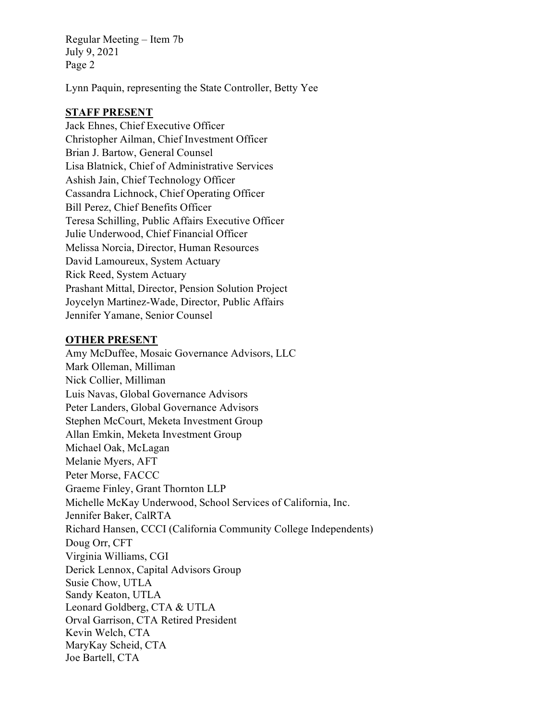Lynn Paquin, representing the State Controller, Betty Yee

### **STAFF PRESENT**

Jack Ehnes, Chief Executive Officer Christopher Ailman, Chief Investment Officer Brian J. Bartow, General Counsel Lisa Blatnick, Chief of Administrative Services Ashish Jain, Chief Technology Officer Cassandra Lichnock, Chief Operating Officer Bill Perez, Chief Benefits Officer Teresa Schilling, Public Affairs Executive Officer Julie Underwood, Chief Financial Officer Melissa Norcia, Director, Human Resources David Lamoureux, System Actuary Rick Reed, System Actuary Prashant Mittal, Director, Pension Solution Project Joycelyn Martinez-Wade, Director, Public Affairs Jennifer Yamane, Senior Counsel

#### **OTHER PRESENT**

Amy McDuffee, Mosaic Governance Advisors, LLC Mark Olleman, Milliman Nick Collier, Milliman Luis Navas, Global Governance Advisors Peter Landers, Global Governance Advisors Stephen McCourt, Meketa Investment Group Allan Emkin, Meketa Investment Group Michael Oak, McLagan Melanie Myers, AFT Peter Morse, FACCC Graeme Finley, Grant Thornton LLP Michelle McKay Underwood, School Services of California, Inc. Jennifer Baker, CalRTA Richard Hansen, CCCI (California Community College Independents) Doug Orr, CFT Virginia Williams, CGI Derick Lennox, Capital Advisors Group Susie Chow, UTLA Sandy Keaton, UTLA Leonard Goldberg, CTA & UTLA Orval Garrison, CTA Retired President Kevin Welch, CTA MaryKay Scheid, CTA Joe Bartell, CTA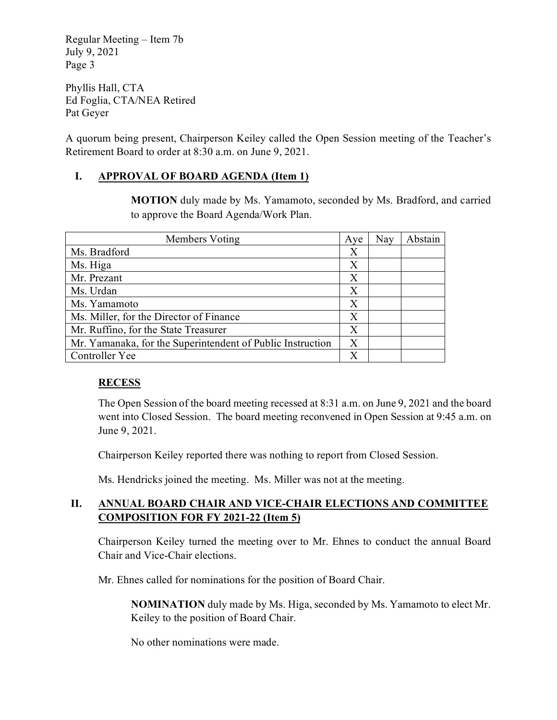Phyllis Hall, CTA Ed Foglia, CTA/NEA Retired Pat Geyer

A quorum being present, Chairperson Keiley called the Open Session meeting of the Teacher's Retirement Board to order at 8:30 a.m. on June 9, 2021.

# **I. APPROVAL OF BOARD AGENDA (Item 1)**

**MOTION** duly made by Ms. Yamamoto, seconded by Ms. Bradford, and carried to approve the Board Agenda/Work Plan.

| Members Voting                                             | Aye | Nay | Abstain |
|------------------------------------------------------------|-----|-----|---------|
| Ms. Bradford                                               | Х   |     |         |
| Ms. Higa                                                   | Х   |     |         |
| Mr. Prezant                                                | X   |     |         |
| Ms. Urdan                                                  | X   |     |         |
| Ms. Yamamoto                                               | X   |     |         |
| Ms. Miller, for the Director of Finance                    | X   |     |         |
| Mr. Ruffino, for the State Treasurer                       | X   |     |         |
| Mr. Yamanaka, for the Superintendent of Public Instruction | X   |     |         |
| Controller Yee                                             |     |     |         |

# **RECESS**

The Open Session of the board meeting recessed at 8:31 a.m. on June 9, 2021 and the board went into Closed Session. The board meeting reconvened in Open Session at 9:45 a.m. on June 9, 2021.

Chairperson Keiley reported there was nothing to report from Closed Session.

Ms. Hendricks joined the meeting. Ms. Miller was not at the meeting.

# **II. ANNUAL BOARD CHAIR AND VICE-CHAIR ELECTIONS AND COMMITTEE COMPOSITION FOR FY 2021-22 (Item 5)**

Chairperson Keiley turned the meeting over to Mr. Ehnes to conduct the annual Board Chair and Vice-Chair elections.

Mr. Ehnes called for nominations for the position of Board Chair.

**NOMINATION** duly made by Ms. Higa, seconded by Ms. Yamamoto to elect Mr. Keiley to the position of Board Chair.

No other nominations were made.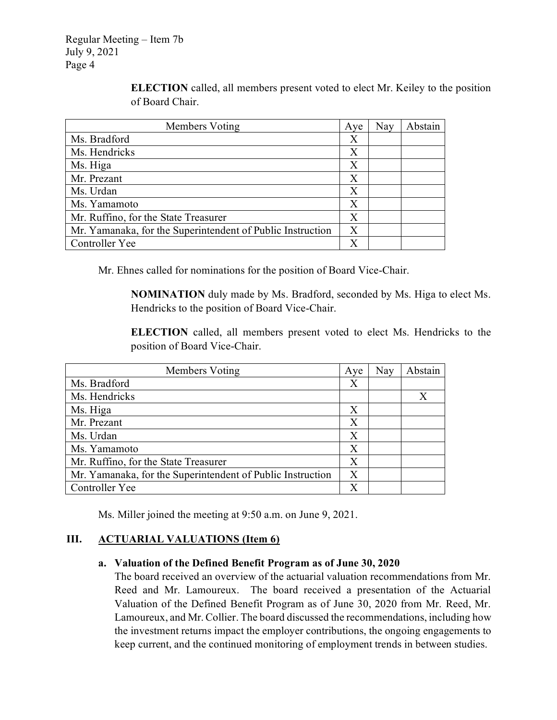Members Voting Aye | Nay | Abstain Ms. Bradford X Ms. Hendricks X  $\mathbf{M}$ s. Higa  $\mathbf{X}$ Mr. Prezant X Ms. Urdan X Ms. Yamamoto X Mr. Ruffino, for the State Treasurer  $X$ Mr. Yamanaka, for the Superintendent of Public Instruction  $\parallel X$ Controller Yee X

**ELECTION** called, all members present voted to elect Mr. Keiley to the position of Board Chair.

Mr. Ehnes called for nominations for the position of Board Vice-Chair.

**NOMINATION** duly made by Ms. Bradford, seconded by Ms. Higa to elect Ms. Hendricks to the position of Board Vice-Chair.

**ELECTION** called, all members present voted to elect Ms. Hendricks to the position of Board Vice-Chair.

| Members Voting                                             | Aye              | Nay | Abstain      |
|------------------------------------------------------------|------------------|-----|--------------|
| Ms. Bradford                                               | Χ                |     |              |
| Ms. Hendricks                                              |                  |     | $\mathbf{X}$ |
| Ms. Higa                                                   | X                |     |              |
| Mr. Prezant                                                | X                |     |              |
| Ms. Urdan                                                  | $\boldsymbol{X}$ |     |              |
| Ms. Yamamoto                                               | Х                |     |              |
| Mr. Ruffino, for the State Treasurer                       | X                |     |              |
| Mr. Yamanaka, for the Superintendent of Public Instruction | X                |     |              |
| Controller Yee                                             |                  |     |              |

Ms. Miller joined the meeting at 9:50 a.m. on June 9, 2021.

#### **III. ACTUARIAL VALUATIONS (Item 6)**

#### **a. Valuation of the Defined Benefit Program as of June 30, 2020**

The board received an overview of the actuarial valuation recommendations from Mr. Reed and Mr. Lamoureux. The board received a presentation of the Actuarial Valuation of the Defined Benefit Program as of June 30, 2020 from Mr. Reed, Mr. Lamoureux, and Mr. Collier. The board discussed the recommendations, including how the investment returns impact the employer contributions, the ongoing engagements to keep current, and the continued monitoring of employment trends in between studies.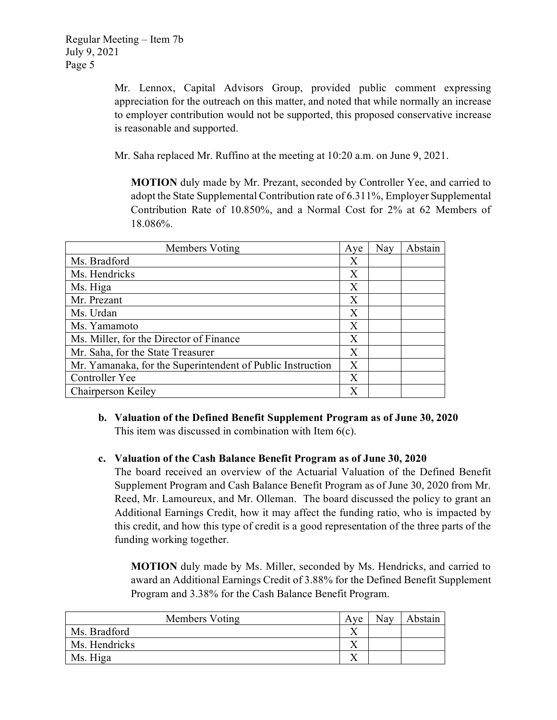Mr. Lennox, Capital Advisors Group, provided public comment expressing appreciation for the outreach on this matter, and noted that while normally an increase to employer contribution would not be supported, this proposed conservative increase is reasonable and supported.

Mr. Saha replaced Mr. Ruffino at the meeting at 10:20 a.m. on June 9, 2021.

**MOTION** duly made by Mr. Prezant, seconded by Controller Yee, and carried to adopt the State Supplemental Contribution rate of 6.311%, Employer Supplemental Contribution Rate of 10.850%, and a Normal Cost for 2% at 62 Members of 18.086%.

| Members Voting                                             | Aye | Nay | Abstain |
|------------------------------------------------------------|-----|-----|---------|
| Ms. Bradford                                               | Х   |     |         |
| Ms. Hendricks                                              | X   |     |         |
| Ms. Higa                                                   | X   |     |         |
| Mr. Prezant                                                | Χ   |     |         |
| Ms. Urdan                                                  | Χ   |     |         |
| Ms. Yamamoto                                               | X   |     |         |
| Ms. Miller, for the Director of Finance                    | X   |     |         |
| Mr. Saha, for the State Treasurer                          | X   |     |         |
| Mr. Yamanaka, for the Superintendent of Public Instruction | X   |     |         |
| Controller Yee                                             | X   |     |         |
| Chairperson Keiley                                         |     |     |         |

**b. Valuation of the Defined Benefit Supplement Program as of June 30, 2020** This item was discussed in combination with Item 6(c).

#### **c. Valuation of the Cash Balance Benefit Program as of June 30, 2020**

The board received an overview of the Actuarial Valuation of the Defined Benefit Supplement Program and Cash Balance Benefit Program as of June 30, 2020 from Mr. Reed, Mr. Lamoureux, and Mr. Olleman. The board discussed the policy to grant an Additional Earnings Credit, how it may affect the funding ratio, who is impacted by this credit, and how this type of credit is a good representation of the three parts of the funding working together.

**MOTION** duly made by Ms. Miller, seconded by Ms. Hendricks, and carried to award an Additional Earnings Credit of 3.88% for the Defined Benefit Supplement Program and 3.38% for the Cash Balance Benefit Program.

| Members Voting | Ave | Nay | Abstain |
|----------------|-----|-----|---------|
| Ms. Bradford   |     |     |         |
| Ms. Hendricks  |     |     |         |
| Ms. Higa       |     |     |         |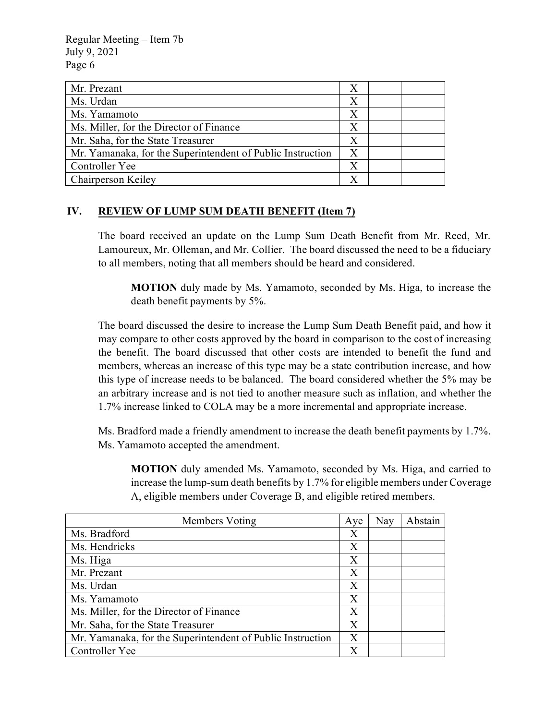| Mr. Prezant                                                | X                |  |
|------------------------------------------------------------|------------------|--|
| Ms. Urdan                                                  | X                |  |
| Ms. Yamamoto                                               | X                |  |
| Ms. Miller, for the Director of Finance                    | X                |  |
| Mr. Saha, for the State Treasurer                          | $\mathbf{X}$     |  |
| Mr. Yamanaka, for the Superintendent of Public Instruction | $\boldsymbol{X}$ |  |
| Controller Yee                                             | X                |  |
| Chairperson Keiley                                         |                  |  |

#### **IV. REVIEW OF LUMP SUM DEATH BENEFIT (Item 7)**

The board received an update on the Lump Sum Death Benefit from Mr. Reed, Mr. Lamoureux, Mr. Olleman, and Mr. Collier. The board discussed the need to be a fiduciary to all members, noting that all members should be heard and considered.

**MOTION** duly made by Ms. Yamamoto, seconded by Ms. Higa, to increase the death benefit payments by 5%.

The board discussed the desire to increase the Lump Sum Death Benefit paid, and how it may compare to other costs approved by the board in comparison to the cost of increasing the benefit. The board discussed that other costs are intended to benefit the fund and members, whereas an increase of this type may be a state contribution increase, and how this type of increase needs to be balanced. The board considered whether the 5% may be an arbitrary increase and is not tied to another measure such as inflation, and whether the 1.7% increase linked to COLA may be a more incremental and appropriate increase.

Ms. Bradford made a friendly amendment to increase the death benefit payments by 1.7%. Ms. Yamamoto accepted the amendment.

**MOTION** duly amended Ms. Yamamoto, seconded by Ms. Higa, and carried to increase the lump-sum death benefits by 1.7% for eligible members under Coverage A, eligible members under Coverage B, and eligible retired members.

| Members Voting                                             | Aye              | Nay | Abstain |
|------------------------------------------------------------|------------------|-----|---------|
| Ms. Bradford                                               | Х                |     |         |
| Ms. Hendricks                                              | Χ                |     |         |
| Ms. Higa                                                   | X                |     |         |
| Mr. Prezant                                                | $\boldsymbol{X}$ |     |         |
| Ms. Urdan                                                  | X                |     |         |
| Ms. Yamamoto                                               | Χ                |     |         |
| Ms. Miller, for the Director of Finance                    | X                |     |         |
| Mr. Saha, for the State Treasurer                          | X                |     |         |
| Mr. Yamanaka, for the Superintendent of Public Instruction | Χ                |     |         |
| Controller Yee                                             |                  |     |         |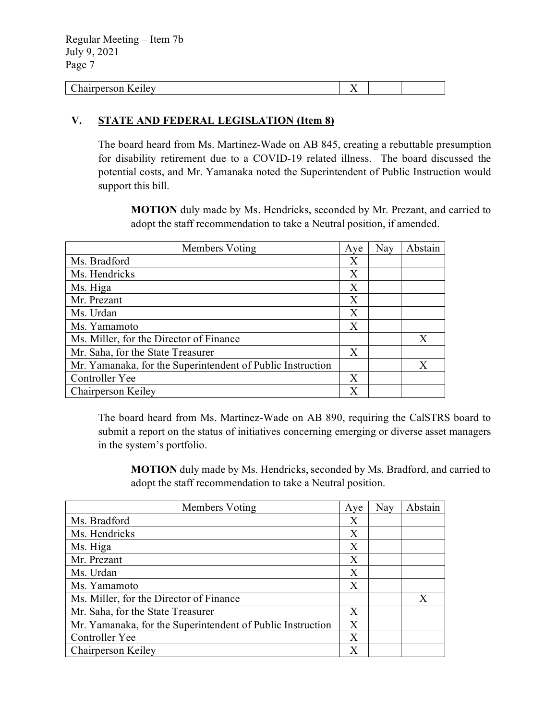| --<br>. .<br>.<br>$\sim$ | $ -$<br>. . |  |
|--------------------------|-------------|--|
|                          |             |  |

#### **V. STATE AND FEDERAL LEGISLATION (Item 8)**

The board heard from Ms. Martinez-Wade on AB 845, creating a rebuttable presumption for disability retirement due to a COVID-19 related illness. The board discussed the potential costs, and Mr. Yamanaka noted the Superintendent of Public Instruction would support this bill.

**MOTION** duly made by Ms. Hendricks, seconded by Mr. Prezant, and carried to adopt the staff recommendation to take a Neutral position, if amended.

| Members Voting                                             | Aye          | Nay | Abstain |
|------------------------------------------------------------|--------------|-----|---------|
| Ms. Bradford                                               | Х            |     |         |
| Ms. Hendricks                                              | X            |     |         |
| Ms. Higa                                                   | Χ            |     |         |
| Mr. Prezant                                                | X            |     |         |
| Ms. Urdan                                                  | X            |     |         |
| Ms. Yamamoto                                               | X            |     |         |
| Ms. Miller, for the Director of Finance                    |              |     | X       |
| Mr. Saha, for the State Treasurer                          | $\mathbf{X}$ |     |         |
| Mr. Yamanaka, for the Superintendent of Public Instruction |              |     | X       |
| Controller Yee                                             | Χ            |     |         |
| Chairperson Keiley                                         |              |     |         |

The board heard from Ms. Martinez-Wade on AB 890, requiring the CalSTRS board to submit a report on the status of initiatives concerning emerging or diverse asset managers in the system's portfolio.

**MOTION** duly made by Ms. Hendricks, seconded by Ms. Bradford, and carried to adopt the staff recommendation to take a Neutral position.

| Members Voting                                             | Aye | Nay | Abstain |
|------------------------------------------------------------|-----|-----|---------|
| Ms. Bradford                                               | Х   |     |         |
| Ms. Hendricks                                              | X   |     |         |
| Ms. Higa                                                   | X   |     |         |
| Mr. Prezant                                                | X   |     |         |
| Ms. Urdan                                                  | Χ   |     |         |
| Ms. Yamamoto                                               | Χ   |     |         |
| Ms. Miller, for the Director of Finance                    |     |     | X       |
| Mr. Saha, for the State Treasurer                          | X   |     |         |
| Mr. Yamanaka, for the Superintendent of Public Instruction | X   |     |         |
| Controller Yee                                             | X   |     |         |
| Chairperson Keiley                                         | X   |     |         |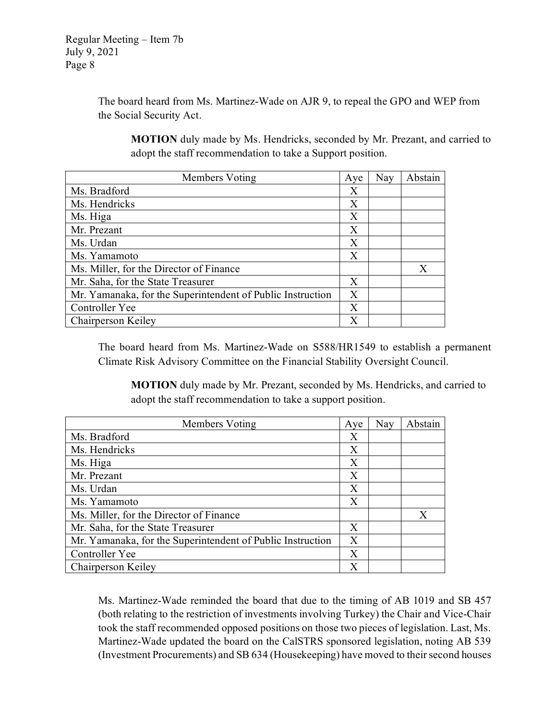The board heard from Ms. Martinez-Wade on AJR 9, to repeal the GPO and WEP from the Social Security Act.

**MOTION** duly made by Ms. Hendricks, seconded by Mr. Prezant, and carried to adopt the staff recommendation to take a Support position.

| Members Voting                                             | Aye | Nay | Abstain |
|------------------------------------------------------------|-----|-----|---------|
| Ms. Bradford                                               | X   |     |         |
| Ms. Hendricks                                              | X   |     |         |
| Ms. Higa                                                   | Χ   |     |         |
| Mr. Prezant                                                | X   |     |         |
| Ms. Urdan                                                  | X   |     |         |
| Ms. Yamamoto                                               | X   |     |         |
| Ms. Miller, for the Director of Finance                    |     |     | X       |
| Mr. Saha, for the State Treasurer                          | X   |     |         |
| Mr. Yamanaka, for the Superintendent of Public Instruction | X   |     |         |
| Controller Yee                                             | X   |     |         |
| Chairperson Keiley                                         | X   |     |         |

The board heard from Ms. Martinez-Wade on S588/HR1549 to establish a permanent Climate Risk Advisory Committee on the Financial Stability Oversight Council.

**MOTION** duly made by Mr. Prezant, seconded by Ms. Hendricks, and carried to adopt the staff recommendation to take a support position.

| Members Voting                                             | Aye | Nay | Abstain |
|------------------------------------------------------------|-----|-----|---------|
| Ms. Bradford                                               | Χ   |     |         |
| Ms. Hendricks                                              | X   |     |         |
| Ms. Higa                                                   | Χ   |     |         |
| Mr. Prezant                                                | X   |     |         |
| Ms. Urdan                                                  | X   |     |         |
| Ms. Yamamoto                                               | Χ   |     |         |
| Ms. Miller, for the Director of Finance                    |     |     | X       |
| Mr. Saha, for the State Treasurer                          | X   |     |         |
| Mr. Yamanaka, for the Superintendent of Public Instruction | X   |     |         |
| Controller Yee                                             | X   |     |         |
| Chairperson Keiley                                         | X   |     |         |

Ms. Martinez-Wade reminded the board that due to the timing of AB 1019 and SB 457 (both relating to the restriction of investments involving Turkey) the Chair and Vice-Chair took the staff recommended opposed positions on those two pieces of legislation. Last, Ms. Martinez-Wade updated the board on the CalSTRS sponsored legislation, noting AB 539 (Investment Procurements) and SB 634 (Housekeeping) have moved to their second houses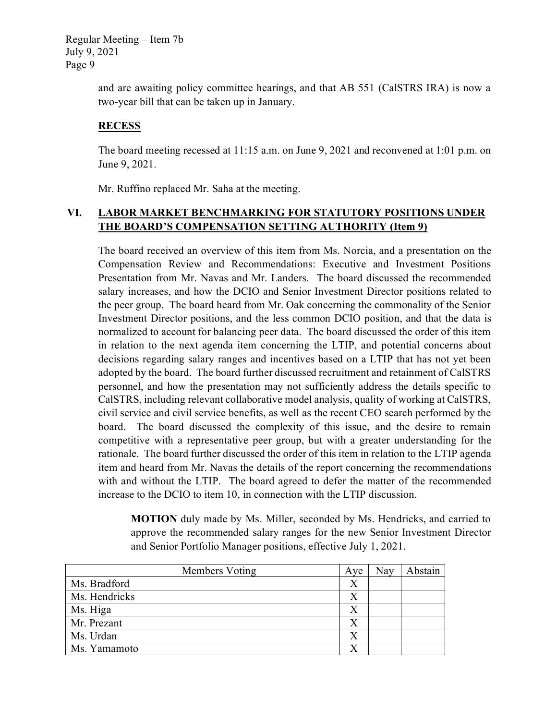> and are awaiting policy committee hearings, and that AB 551 (CalSTRS IRA) is now a two-year bill that can be taken up in January.

#### **RECESS**

The board meeting recessed at 11:15 a.m. on June 9, 2021 and reconvened at 1:01 p.m. on June 9, 2021.

Mr. Ruffino replaced Mr. Saha at the meeting.

# **VI. LABOR MARKET BENCHMARKING FOR STATUTORY POSITIONS UNDER THE BOARD'S COMPENSATION SETTING AUTHORITY (Item 9)**

The board received an overview of this item from Ms. Norcia, and a presentation on the Compensation Review and Recommendations: Executive and Investment Positions Presentation from Mr. Navas and Mr. Landers. The board discussed the recommended salary increases, and how the DCIO and Senior Investment Director positions related to the peer group. The board heard from Mr. Oak concerning the commonality of the Senior Investment Director positions, and the less common DCIO position, and that the data is normalized to account for balancing peer data. The board discussed the order of this item in relation to the next agenda item concerning the LTIP, and potential concerns about decisions regarding salary ranges and incentives based on a LTIP that has not yet been adopted by the board. The board further discussed recruitment and retainment of CalSTRS personnel, and how the presentation may not sufficiently address the details specific to CalSTRS, including relevant collaborative model analysis, quality of working at CalSTRS, civil service and civil service benefits, as well as the recent CEO search performed by the board. The board discussed the complexity of this issue, and the desire to remain competitive with a representative peer group, but with a greater understanding for the rationale. The board further discussed the order of this item in relation to the LTIP agenda item and heard from Mr. Navas the details of the report concerning the recommendations with and without the LTIP. The board agreed to defer the matter of the recommended increase to the DCIO to item 10, in connection with the LTIP discussion.

**MOTION** duly made by Ms. Miller, seconded by Ms. Hendricks, and carried to approve the recommended salary ranges for the new Senior Investment Director and Senior Portfolio Manager positions, effective July 1, 2021.

| Members Voting | Ave              | Nay | Abstain |
|----------------|------------------|-----|---------|
| Ms. Bradford   | Х                |     |         |
| Ms. Hendricks  |                  |     |         |
| Ms. Higa       | X                |     |         |
| Mr. Prezant    | $\boldsymbol{X}$ |     |         |
| Ms. Urdan      |                  |     |         |
| Ms. Yamamoto   |                  |     |         |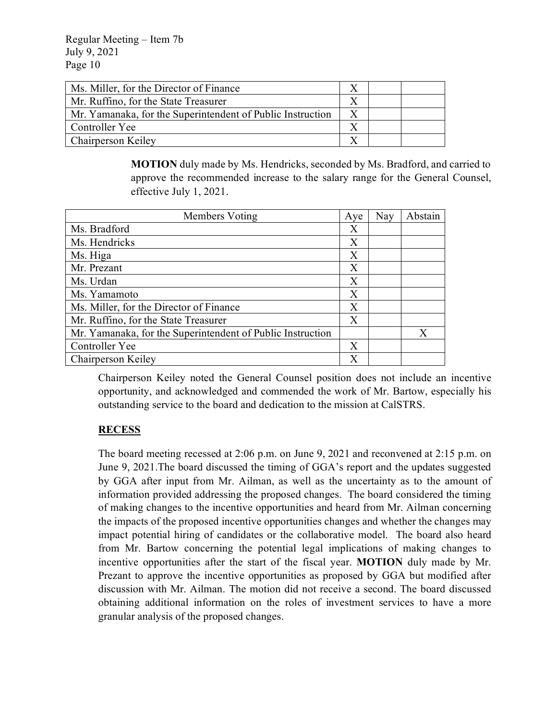| Ms. Miller, for the Director of Finance                    |  |  |
|------------------------------------------------------------|--|--|
| Mr. Ruffino, for the State Treasurer                       |  |  |
| Mr. Yamanaka, for the Superintendent of Public Instruction |  |  |
| Controller Yee                                             |  |  |
| Chairperson Keiley                                         |  |  |

**MOTION** duly made by Ms. Hendricks, seconded by Ms. Bradford, and carried to approve the recommended increase to the salary range for the General Counsel, effective July 1, 2021.

| Members Voting                                             | Aye | Nay | Abstain      |
|------------------------------------------------------------|-----|-----|--------------|
| Ms. Bradford                                               | Χ   |     |              |
| Ms. Hendricks                                              | X   |     |              |
| Ms. Higa                                                   | Χ   |     |              |
| Mr. Prezant                                                | X   |     |              |
| Ms. Urdan                                                  | X   |     |              |
| Ms. Yamamoto                                               | X   |     |              |
| Ms. Miller, for the Director of Finance                    | X   |     |              |
| Mr. Ruffino, for the State Treasurer                       | X   |     |              |
| Mr. Yamanaka, for the Superintendent of Public Instruction |     |     | $\mathbf{X}$ |
| Controller Yee                                             | X   |     |              |
| Chairperson Keiley                                         | X   |     |              |

Chairperson Keiley noted the General Counsel position does not include an incentive opportunity, and acknowledged and commended the work of Mr. Bartow, especially his outstanding service to the board and dedication to the mission at CalSTRS.

# **RECESS**

The board meeting recessed at 2:06 p.m. on June 9, 2021 and reconvened at 2:15 p.m. on June 9, 2021.The board discussed the timing of GGA's report and the updates suggested by GGA after input from Mr. Ailman, as well as the uncertainty as to the amount of information provided addressing the proposed changes. The board considered the timing of making changes to the incentive opportunities and heard from Mr. Ailman concerning the impacts of the proposed incentive opportunities changes and whether the changes may impact potential hiring of candidates or the collaborative model. The board also heard from Mr. Bartow concerning the potential legal implications of making changes to incentive opportunities after the start of the fiscal year. **MOTION** duly made by Mr. Prezant to approve the incentive opportunities as proposed by GGA but modified after discussion with Mr. Ailman. The motion did not receive a second. The board discussed obtaining additional information on the roles of investment services to have a more granular analysis of the proposed changes.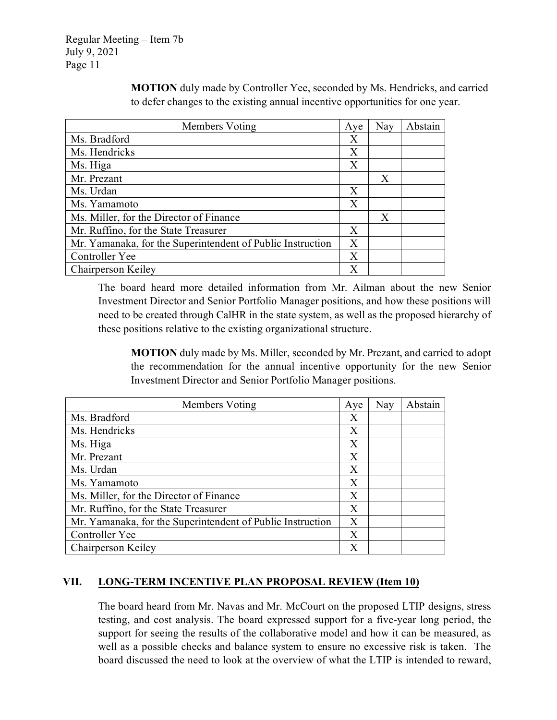| Members Voting                                             | Aye              | Nay | Abstain |
|------------------------------------------------------------|------------------|-----|---------|
| Ms. Bradford                                               | Χ                |     |         |
| Ms. Hendricks                                              | Χ                |     |         |
| Ms. Higa                                                   | $\mathbf{X}$     |     |         |
| Mr. Prezant                                                |                  | X   |         |
| Ms. Urdan                                                  | $\mathbf{X}$     |     |         |
| Ms. Yamamoto                                               | X                |     |         |
| Ms. Miller, for the Director of Finance                    |                  | X   |         |
| Mr. Ruffino, for the State Treasurer                       | Χ                |     |         |
| Mr. Yamanaka, for the Superintendent of Public Instruction | $\boldsymbol{X}$ |     |         |
| Controller Yee                                             | X                |     |         |
| Chairperson Keiley                                         | X                |     |         |

**MOTION** duly made by Controller Yee, seconded by Ms. Hendricks, and carried to defer changes to the existing annual incentive opportunities for one year.

The board heard more detailed information from Mr. Ailman about the new Senior Investment Director and Senior Portfolio Manager positions, and how these positions will need to be created through CalHR in the state system, as well as the proposed hierarchy of these positions relative to the existing organizational structure.

**MOTION** duly made by Ms. Miller, seconded by Mr. Prezant, and carried to adopt the recommendation for the annual incentive opportunity for the new Senior Investment Director and Senior Portfolio Manager positions.

| Members Voting                                             | Ave | Nay | Abstain |
|------------------------------------------------------------|-----|-----|---------|
| Ms. Bradford                                               | Χ   |     |         |
| Ms. Hendricks                                              | Χ   |     |         |
| Ms. Higa                                                   | Χ   |     |         |
| Mr. Prezant                                                | Χ   |     |         |
| Ms. Urdan                                                  | Χ   |     |         |
| Ms. Yamamoto                                               | X   |     |         |
| Ms. Miller, for the Director of Finance                    | X   |     |         |
| Mr. Ruffino, for the State Treasurer                       | X   |     |         |
| Mr. Yamanaka, for the Superintendent of Public Instruction | X   |     |         |
| Controller Yee                                             | Χ   |     |         |
| Chairperson Keiley                                         | X   |     |         |

# **VII. LONG-TERM INCENTIVE PLAN PROPOSAL REVIEW (Item 10)**

The board heard from Mr. Navas and Mr. McCourt on the proposed LTIP designs, stress testing, and cost analysis. The board expressed support for a five-year long period, the support for seeing the results of the collaborative model and how it can be measured, as well as a possible checks and balance system to ensure no excessive risk is taken. The board discussed the need to look at the overview of what the LTIP is intended to reward,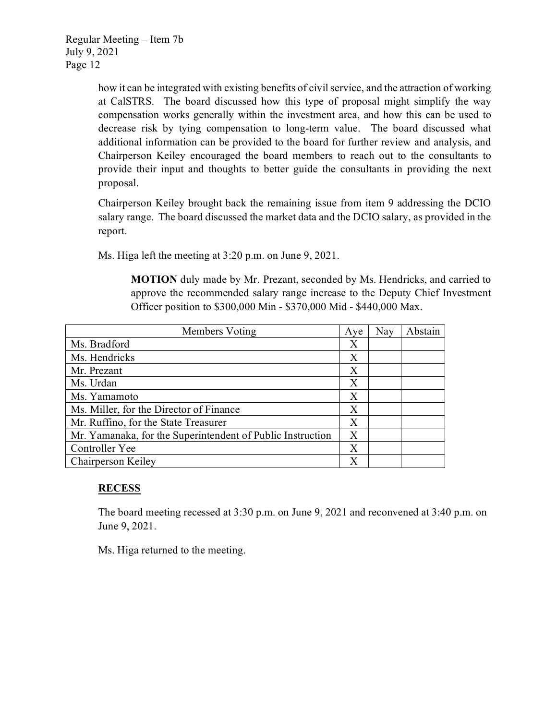how it can be integrated with existing benefits of civil service, and the attraction of working at CalSTRS. The board discussed how this type of proposal might simplify the way compensation works generally within the investment area, and how this can be used to decrease risk by tying compensation to long-term value. The board discussed what additional information can be provided to the board for further review and analysis, and Chairperson Keiley encouraged the board members to reach out to the consultants to provide their input and thoughts to better guide the consultants in providing the next proposal.

Chairperson Keiley brought back the remaining issue from item 9 addressing the DCIO salary range. The board discussed the market data and the DCIO salary, as provided in the report.

Ms. Higa left the meeting at 3:20 p.m. on June 9, 2021.

**MOTION** duly made by Mr. Prezant, seconded by Ms. Hendricks, and carried to approve the recommended salary range increase to the Deputy Chief Investment Officer position to \$300,000 Min - \$370,000 Mid - \$440,000 Max.

| Members Voting                                             | Aye | Nay | Abstain |
|------------------------------------------------------------|-----|-----|---------|
| Ms. Bradford                                               | Х   |     |         |
| Ms. Hendricks                                              | Χ   |     |         |
| Mr. Prezant                                                | Χ   |     |         |
| Ms. Urdan                                                  | Χ   |     |         |
| Ms. Yamamoto                                               | Χ   |     |         |
| Ms. Miller, for the Director of Finance                    | X   |     |         |
| Mr. Ruffino, for the State Treasurer                       | X   |     |         |
| Mr. Yamanaka, for the Superintendent of Public Instruction | X   |     |         |
| Controller Yee                                             | Х   |     |         |
| Chairperson Keiley                                         | X   |     |         |

# **RECESS**

The board meeting recessed at 3:30 p.m. on June 9, 2021 and reconvened at 3:40 p.m. on June 9, 2021.

Ms. Higa returned to the meeting.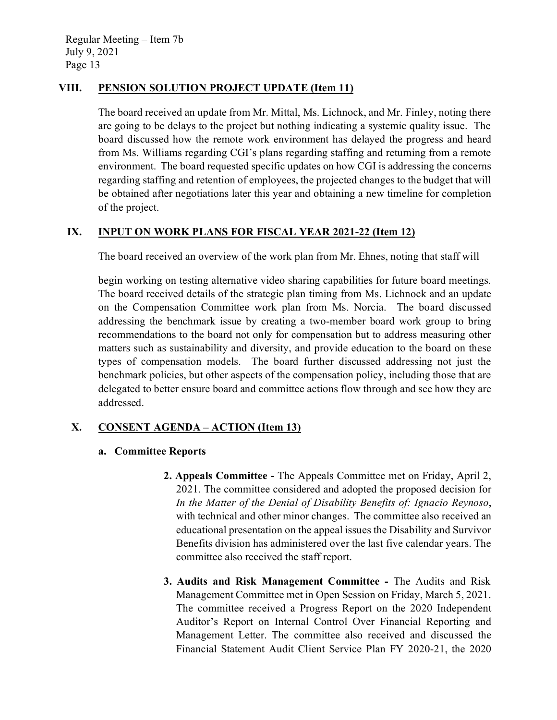#### **VIII. PENSION SOLUTION PROJECT UPDATE (Item 11)**

The board received an update from Mr. Mittal, Ms. Lichnock, and Mr. Finley, noting there are going to be delays to the project but nothing indicating a systemic quality issue. The board discussed how the remote work environment has delayed the progress and heard from Ms. Williams regarding CGI's plans regarding staffing and returning from a remote environment. The board requested specific updates on how CGI is addressing the concerns regarding staffing and retention of employees, the projected changes to the budget that will be obtained after negotiations later this year and obtaining a new timeline for completion of the project.

# **IX. INPUT ON WORK PLANS FOR FISCAL YEAR 2021-22 (Item 12)**

The board received an overview of the work plan from Mr. Ehnes, noting that staff will

begin working on testing alternative video sharing capabilities for future board meetings. The board received details of the strategic plan timing from Ms. Lichnock and an update on the Compensation Committee work plan from Ms. Norcia. The board discussed addressing the benchmark issue by creating a two-member board work group to bring recommendations to the board not only for compensation but to address measuring other matters such as sustainability and diversity, and provide education to the board on these types of compensation models. The board further discussed addressing not just the benchmark policies, but other aspects of the compensation policy, including those that are delegated to better ensure board and committee actions flow through and see how they are addressed.

# **X. CONSENT AGENDA – ACTION (Item 13)**

#### **a. Committee Reports**

- **2. Appeals Committee -** The Appeals Committee met on Friday, April 2, 2021. The committee considered and adopted the proposed decision for *In the Matter of the Denial of Disability Benefits of: Ignacio Reynoso*, with technical and other minor changes. The committee also received an educational presentation on the appeal issues the Disability and Survivor Benefits division has administered over the last five calendar years. The committee also received the staff report.
- **3. Audits and Risk Management Committee -** The Audits and Risk Management Committee met in Open Session on Friday, March 5, 2021. The committee received a Progress Report on the 2020 Independent Auditor's Report on Internal Control Over Financial Reporting and Management Letter. The committee also received and discussed the Financial Statement Audit Client Service Plan FY 2020-21, the 2020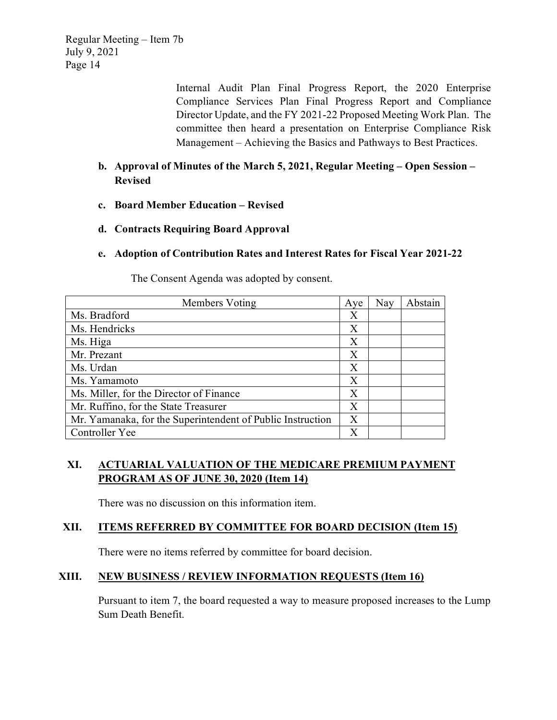> Internal Audit Plan Final Progress Report, the 2020 Enterprise Compliance Services Plan Final Progress Report and Compliance Director Update, and the FY 2021-22 Proposed Meeting Work Plan. The committee then heard a presentation on Enterprise Compliance Risk Management – Achieving the Basics and Pathways to Best Practices.

# **b. Approval of Minutes of the March 5, 2021, Regular Meeting – Open Session – Revised**

- **c. Board Member Education Revised**
- **d. Contracts Requiring Board Approval**
- **e. Adoption of Contribution Rates and Interest Rates for Fiscal Year 2021-22**

| Members Voting                                             | Aye | Nay | Abstain |
|------------------------------------------------------------|-----|-----|---------|
| Ms. Bradford                                               | Χ   |     |         |
| Ms. Hendricks                                              | X   |     |         |
| Ms. Higa                                                   | Χ   |     |         |
| Mr. Prezant                                                | Χ   |     |         |
| Ms. Urdan                                                  | X   |     |         |
| Ms. Yamamoto                                               | X   |     |         |
| Ms. Miller, for the Director of Finance                    | Χ   |     |         |
| Mr. Ruffino, for the State Treasurer                       | X   |     |         |
| Mr. Yamanaka, for the Superintendent of Public Instruction | X   |     |         |
| Controller Yee                                             | X   |     |         |

The Consent Agenda was adopted by consent.

# **XI. ACTUARIAL VALUATION OF THE MEDICARE PREMIUM PAYMENT PROGRAM AS OF JUNE 30, 2020 (Item 14)**

There was no discussion on this information item.

# **XII. ITEMS REFERRED BY COMMITTEE FOR BOARD DECISION (Item 15)**

There were no items referred by committee for board decision.

#### **XIII. NEW BUSINESS / REVIEW INFORMATION REQUESTS (Item 16)**

Pursuant to item 7, the board requested a way to measure proposed increases to the Lump Sum Death Benefit.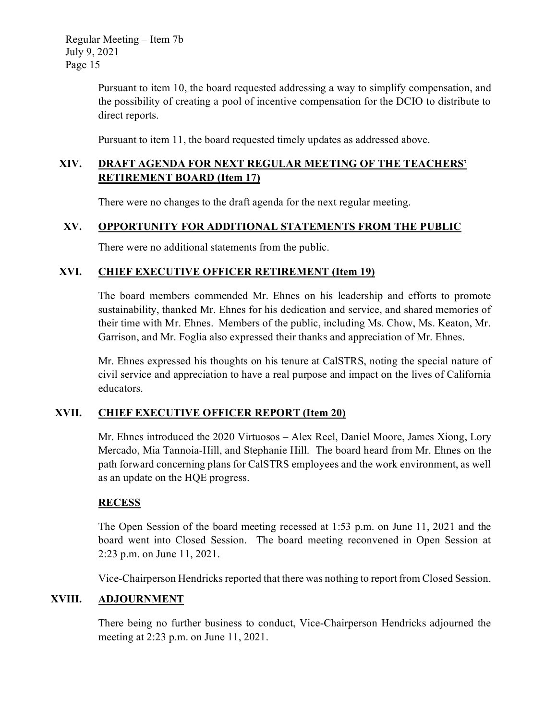> Pursuant to item 10, the board requested addressing a way to simplify compensation, and the possibility of creating a pool of incentive compensation for the DCIO to distribute to direct reports.

Pursuant to item 11, the board requested timely updates as addressed above.

# **XIV. DRAFT AGENDA FOR NEXT REGULAR MEETING OF THE TEACHERS' RETIREMENT BOARD (Item 17)**

There were no changes to the draft agenda for the next regular meeting.

# **XV. OPPORTUNITY FOR ADDITIONAL STATEMENTS FROM THE PUBLIC**

There were no additional statements from the public.

#### **XVI. CHIEF EXECUTIVE OFFICER RETIREMENT (Item 19)**

The board members commended Mr. Ehnes on his leadership and efforts to promote sustainability, thanked Mr. Ehnes for his dedication and service, and shared memories of their time with Mr. Ehnes. Members of the public, including Ms. Chow, Ms. Keaton, Mr. Garrison, and Mr. Foglia also expressed their thanks and appreciation of Mr. Ehnes.

Mr. Ehnes expressed his thoughts on his tenure at CalSTRS, noting the special nature of civil service and appreciation to have a real purpose and impact on the lives of California educators.

# **XVII. CHIEF EXECUTIVE OFFICER REPORT (Item 20)**

Mr. Ehnes introduced the 2020 Virtuosos – Alex Reel, Daniel Moore, James Xiong, Lory Mercado, Mia Tannoia-Hill, and Stephanie Hill. The board heard from Mr. Ehnes on the path forward concerning plans for CalSTRS employees and the work environment, as well as an update on the HQE progress.

# **RECESS**

The Open Session of the board meeting recessed at 1:53 p.m. on June 11, 2021 and the board went into Closed Session. The board meeting reconvened in Open Session at 2:23 p.m. on June 11, 2021.

Vice-Chairperson Hendricks reported that there was nothing to report from Closed Session.

# **XVIII. ADJOURNMENT**

There being no further business to conduct, Vice-Chairperson Hendricks adjourned the meeting at 2:23 p.m. on June 11, 2021.